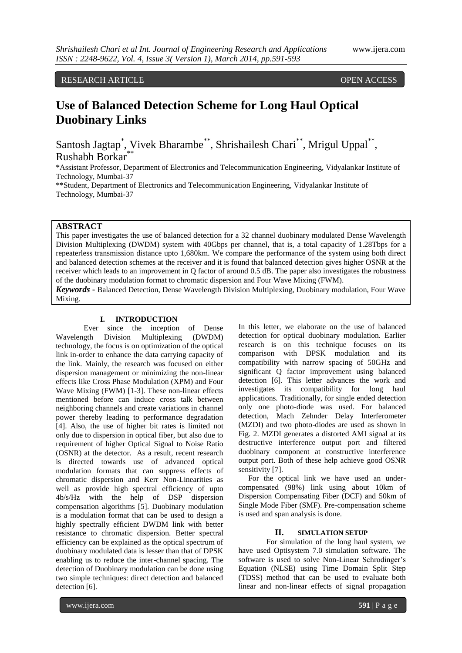RESEARCH ARTICLE OPEN ACCESS

# **Use of Balanced Detection Scheme for Long Haul Optical Duobinary Links**

Santosh Jagtap<sup>\*</sup>, Vivek Bharambe<sup>\*\*</sup>, Shrishailesh Chari<sup>\*\*</sup>, Mrigul Uppal<sup>\*\*</sup>, Rushabh Borkar<sup>\*</sup>

\*Assistant Professor, Department of Electronics and Telecommunication Engineering, Vidyalankar Institute of Technology, Mumbai-37

\*\*Student, Department of Electronics and Telecommunication Engineering, Vidyalankar Institute of Technology, Mumbai-37

## **ABSTRACT**

This paper investigates the use of balanced detection for a 32 channel duobinary modulated Dense Wavelength Division Multiplexing (DWDM) system with 40Gbps per channel, that is, a total capacity of 1.28Tbps for a repeaterless transmission distance upto 1,680km. We compare the performance of the system using both direct and balanced detection schemes at the receiver and it is found that balanced detection gives higher OSNR at the receiver which leads to an improvement in Q factor of around 0.5 dB. The paper also investigates the robustness of the duobinary modulation format to chromatic dispersion and Four Wave Mixing (FWM).

*Keywords* **-** Balanced Detection, Dense Wavelength Division Multiplexing, Duobinary modulation, Four Wave Mixing.

## **I. INTRODUCTION**

Ever since the inception of Dense Wavelength Division Multiplexing (DWDM) technology, the focus is on optimization of the optical link in-order to enhance the data carrying capacity of the link. Mainly, the research was focused on either dispersion management or minimizing the non-linear effects like Cross Phase Modulation (XPM) and Four Wave Mixing (FWM) [1-3]. These non-linear effects mentioned before can induce cross talk between neighboring channels and create variations in channel power thereby leading to performance degradation [4]. Also, the use of higher bit rates is limited not only due to dispersion in optical fiber, but also due to requirement of higher Optical Signal to Noise Ratio (OSNR) at the detector. As a result, recent research is directed towards use of advanced optical modulation formats that can suppress effects of chromatic dispersion and Kerr Non-Linearities as well as provide high spectral efficiency of upto 4b/s/Hz with the help of DSP dispersion compensation algorithms [5]. Duobinary modulation is a modulation format that can be used to design a highly spectrally efficient DWDM link with better resistance to chromatic dispersion. Better spectral efficiency can be explained as the optical spectrum of duobinary modulated data is lesser than that of DPSK enabling us to reduce the inter-channel spacing. The detection of Duobinary modulation can be done using two simple techniques: direct detection and balanced detection [6].

In this letter, we elaborate on the use of balanced detection for optical duobinary modulation. Earlier research is on this technique focuses on its comparison with DPSK modulation and its compatibility with narrow spacing of 50GHz and significant Q factor improvement using balanced detection [6]. This letter advances the work and investigates its compatibility for long haul applications. Traditionally, for single ended detection only one photo-diode was used. For balanced detection, Mach Zehnder Delay Interferometer (MZDI) and two photo-diodes are used as shown in Fig. 2. MZDI generates a distorted AMI signal at its destructive interference output port and filtered duobinary component at constructive interference output port. Both of these help achieve good OSNR sensitivity [7].

 For the optical link we have used an undercompensated (98%) link using about 10km of Dispersion Compensating Fiber (DCF) and 50km of Single Mode Fiber (SMF). Pre-compensation scheme is used and span analysis is done.

## **II. SIMULATION SETUP**

For simulation of the long haul system, we have used Optisystem 7.0 simulation software. The software is used to solve Non-Linear Schrodinger's Equation (NLSE) using Time Domain Split Step (TDSS) method that can be used to evaluate both linear and non-linear effects of signal propagation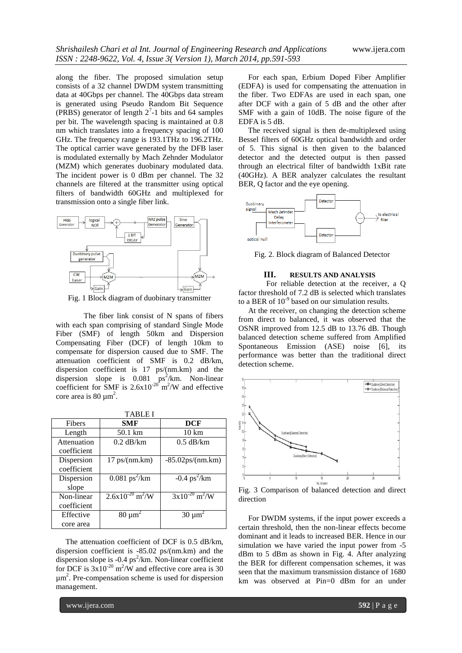along the fiber. The proposed simulation setup consists of a 32 channel DWDM system transmitting data at 40Gbps per channel. The 40Gbps data stream is generated using Pseudo Random Bit Sequence (PRBS) generator of length  $2<sup>7</sup>$ -1 bits and 64 samples per bit. The wavelength spacing is maintained at 0.8 nm which translates into a frequency spacing of 100 GHz. The frequency range is 193.1THz to 196.2THz. The optical carrier wave generated by the DFB laser is modulated externally by Mach Zehnder Modulator (MZM) which generates duobinary modulated data. The incident power is 0 dBm per channel. The 32 channels are filtered at the transmitter using optical filters of bandwidth 60GHz and multiplexed for transmission onto a single fiber link.



Fig. 1 Block diagram of duobinary transmitter

The fiber link consist of N spans of fibers with each span comprising of standard Single Mode Fiber (SMF) of length 50km and Dispersion Compensating Fiber (DCF) of length 10km to compensate for dispersion caused due to SMF. The attenuation coefficient of SMF is 0.2 dB/km, dispersion coefficient is 17 ps/(nm.km) and the dispersion slope is  $0.081 \text{ ps}^2/\text{km}$ . Non-linear coefficient for SMF is  $2.6x10^{-20}$  m<sup>2</sup>/W and effective core area is  $80 \mu m^2$ .

| <b>TABLE I</b> |                                  |                                |
|----------------|----------------------------------|--------------------------------|
| Fibers         | <b>SMF</b>                       | <b>DCF</b>                     |
| Length         | 50.1 km                          | $10 \text{ km}$                |
| Attenuation    | $0.2$ dB/km                      | $0.5$ dB/km                    |
| coefficient    |                                  |                                |
| Dispersion     | $17$ ps/(nm.km)                  | $-85.02$ ps/(nm.km)            |
| coefficient    |                                  |                                |
| Dispersion     | $0.081 \text{ ps}^2/\text{km}$   | $-0.4 \text{ ps}^2/\text{km}$  |
| slope          |                                  |                                |
| Non-linear     | $2.6x10^{-20}$ m <sup>2</sup> /W | $3x10^{-20}$ m <sup>2</sup> /W |
| coefficient    |                                  |                                |
| Effective      | $80 \mu m^2$                     | $30 \mu m^2$                   |
| core area      |                                  |                                |

 The attenuation coefficient of DCF is 0.5 dB/km, dispersion coefficient is -85.02 ps/(nm.km) and the dispersion slope is  $-0.4$  ps<sup>2</sup>/km. Non-linear coefficient for DCF is  $3x10^{-20}$  m<sup>2</sup>/W and effective core area is 30 µm<sup>2</sup> . Pre-compensation scheme is used for dispersion management.

 For each span, Erbium Doped Fiber Amplifier (EDFA) is used for compensating the attenuation in the fiber. Two EDFAs are used in each span, one after DCF with a gain of 5 dB and the other after SMF with a gain of 10dB. The noise figure of the EDFA is 5 dB.

 The received signal is then de-multiplexed using Bessel filters of 60GHz optical bandwidth and order of 5. This signal is then given to the balanced detector and the detected output is then passed through an electrical filter of bandwidth 1xBit rate (40GHz). A BER analyzer calculates the resultant BER, Q factor and the eye opening.



Fig. 2. Block diagram of Balanced Detector

### **III. RESULTS AND ANALYSIS**

For reliable detection at the receiver, a Q factor threshold of 7.2 dB is selected which translates to a BER of  $10^{-9}$  based on our simulation results.

 At the receiver, on changing the detection scheme from direct to balanced, it was observed that the OSNR improved from 12.5 dB to 13.76 dB. Though balanced detection scheme suffered from Amplified Spontaneous Emission (ASE) noise [6], its performance was better than the traditional direct detection scheme.



Fig. 3 Comparison of balanced detection and direct direction

 For DWDM systems, if the input power exceeds a certain threshold, then the non-linear effects become dominant and it leads to increased BER. Hence in our simulation we have varied the input power from -5 dBm to 5 dBm as shown in Fig. 4. After analyzing the BER for different compensation schemes, it was seen that the maximum transmission distance of 1680 km was observed at Pin=0 dBm for an under